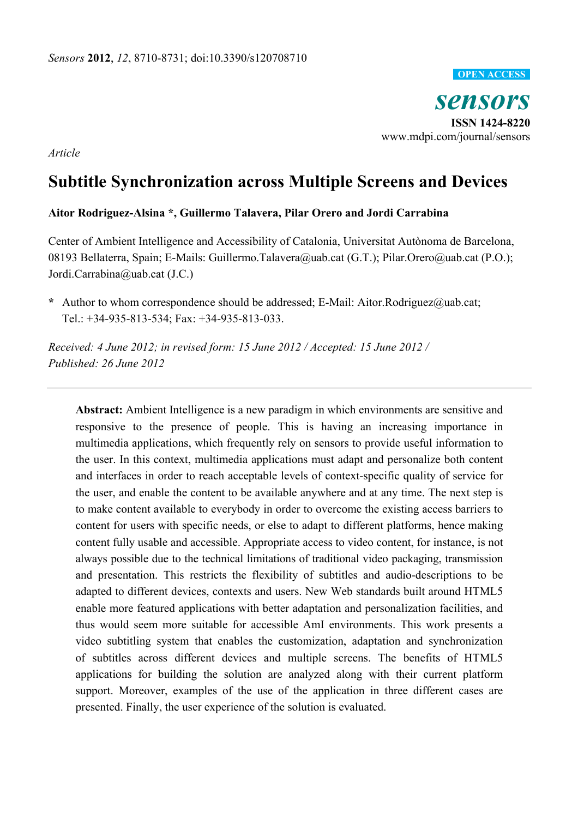#### **OPEN ACCESS**

*sensors*  **ISSN 1424-8220**  www.mdpi.com/journal/sensors

*Article* 

# **Subtitle Synchronization across Multiple Screens and Devices**

# **Aitor Rodriguez-Alsina \*, Guillermo Talavera, Pilar Orero and Jordi Carrabina**

Center of Ambient Intelligence and Accessibility of Catalonia, Universitat Autònoma de Barcelona, 08193 Bellaterra, Spain; E-Mails: Guillermo.Talavera@uab.cat (G.T.); Pilar.Orero@uab.cat (P.O.); Jordi.Carrabina@uab.cat (J.C.)

**\*** Author to whom correspondence should be addressed; E-Mail: Aitor.Rodriguez@uab.cat; Tel.: +34-935-813-534; Fax: +34-935-813-033.

*Received: 4 June 2012; in revised form: 15 June 2012 / Accepted: 15 June 2012 / Published: 26 June 2012* 

**Abstract:** Ambient Intelligence is a new paradigm in which environments are sensitive and responsive to the presence of people. This is having an increasing importance in multimedia applications, which frequently rely on sensors to provide useful information to the user. In this context, multimedia applications must adapt and personalize both content and interfaces in order to reach acceptable levels of context-specific quality of service for the user, and enable the content to be available anywhere and at any time. The next step is to make content available to everybody in order to overcome the existing access barriers to content for users with specific needs, or else to adapt to different platforms, hence making content fully usable and accessible. Appropriate access to video content, for instance, is not always possible due to the technical limitations of traditional video packaging, transmission and presentation. This restricts the flexibility of subtitles and audio-descriptions to be adapted to different devices, contexts and users. New Web standards built around HTML5 enable more featured applications with better adaptation and personalization facilities, and thus would seem more suitable for accessible AmI environments. This work presents a video subtitling system that enables the customization, adaptation and synchronization of subtitles across different devices and multiple screens. The benefits of HTML5 applications for building the solution are analyzed along with their current platform support. Moreover, examples of the use of the application in three different cases are presented. Finally, the user experience of the solution is evaluated.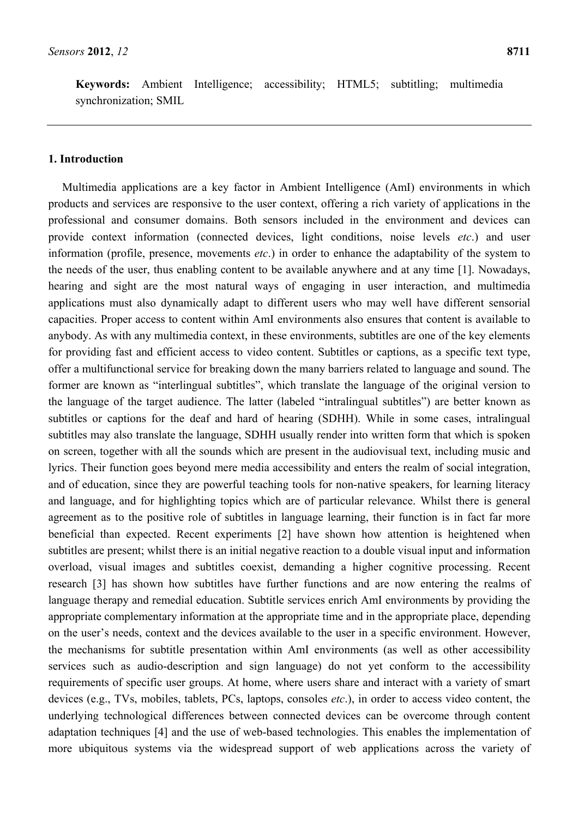**Keywords:** Ambient Intelligence; accessibility; HTML5; subtitling; multimedia synchronization; SMIL

# **1. Introduction**

Multimedia applications are a key factor in Ambient Intelligence (AmI) environments in which products and services are responsive to the user context, offering a rich variety of applications in the professional and consumer domains. Both sensors included in the environment and devices can provide context information (connected devices, light conditions, noise levels *etc*.) and user information (profile, presence, movements *etc*.) in order to enhance the adaptability of the system to the needs of the user, thus enabling content to be available anywhere and at any time [1]. Nowadays, hearing and sight are the most natural ways of engaging in user interaction, and multimedia applications must also dynamically adapt to different users who may well have different sensorial capacities. Proper access to content within AmI environments also ensures that content is available to anybody. As with any multimedia context, in these environments, subtitles are one of the key elements for providing fast and efficient access to video content. Subtitles or captions, as a specific text type, offer a multifunctional service for breaking down the many barriers related to language and sound. The former are known as "interlingual subtitles", which translate the language of the original version to the language of the target audience. The latter (labeled "intralingual subtitles") are better known as subtitles or captions for the deaf and hard of hearing (SDHH). While in some cases, intralingual subtitles may also translate the language, SDHH usually render into written form that which is spoken on screen, together with all the sounds which are present in the audiovisual text, including music and lyrics. Their function goes beyond mere media accessibility and enters the realm of social integration, and of education, since they are powerful teaching tools for non-native speakers, for learning literacy and language, and for highlighting topics which are of particular relevance. Whilst there is general agreement as to the positive role of subtitles in language learning, their function is in fact far more beneficial than expected. Recent experiments [2] have shown how attention is heightened when subtitles are present; whilst there is an initial negative reaction to a double visual input and information overload, visual images and subtitles coexist, demanding a higher cognitive processing. Recent research [3] has shown how subtitles have further functions and are now entering the realms of language therapy and remedial education. Subtitle services enrich AmI environments by providing the appropriate complementary information at the appropriate time and in the appropriate place, depending on the user's needs, context and the devices available to the user in a specific environment. However, the mechanisms for subtitle presentation within AmI environments (as well as other accessibility services such as audio-description and sign language) do not yet conform to the accessibility requirements of specific user groups. At home, where users share and interact with a variety of smart devices (e.g., TVs, mobiles, tablets, PCs, laptops, consoles *etc*.), in order to access video content, the underlying technological differences between connected devices can be overcome through content adaptation techniques [4] and the use of web-based technologies. This enables the implementation of more ubiquitous systems via the widespread support of web applications across the variety of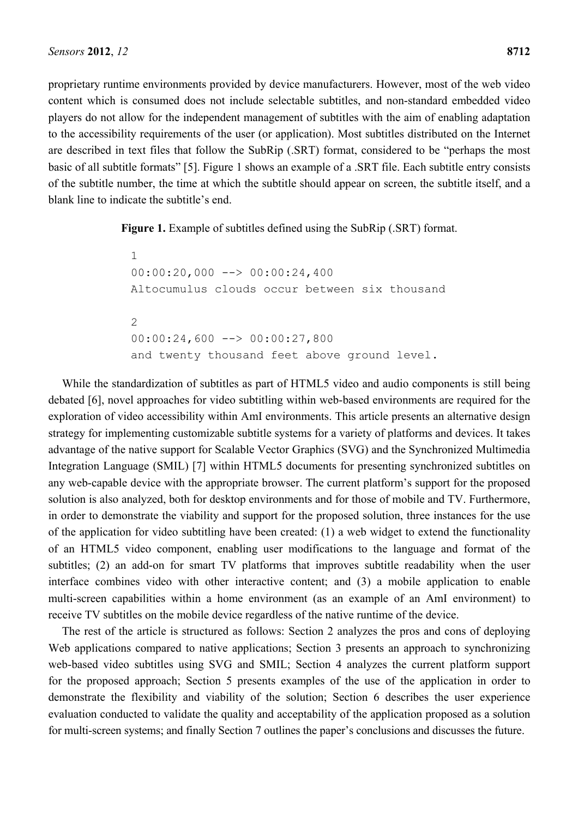proprietary runtime environments provided by device manufacturers. However, most of the web video content which is consumed does not include selectable subtitles, and non-standard embedded video players do not allow for the independent management of subtitles with the aim of enabling adaptation to the accessibility requirements of the user (or application). Most subtitles distributed on the Internet are described in text files that follow the SubRip (.SRT) format, considered to be "perhaps the most basic of all subtitle formats" [5]. Figure 1 shows an example of a .SRT file. Each subtitle entry consists of the subtitle number, the time at which the subtitle should appear on screen, the subtitle itself, and a blank line to indicate the subtitle's end.

**Figure 1.** Example of subtitles defined using the SubRip (.SRT) format.

```
1 
00:00:20,000 --> 00:00:24,400Altocumulus clouds occur between six thousand 
2 
00:00:24,600 --> 00:00:27,800and twenty thousand feet above ground level.
```
While the standardization of subtitles as part of HTML5 video and audio components is still being debated [6], novel approaches for video subtitling within web-based environments are required for the exploration of video accessibility within AmI environments. This article presents an alternative design strategy for implementing customizable subtitle systems for a variety of platforms and devices. It takes advantage of the native support for Scalable Vector Graphics (SVG) and the Synchronized Multimedia Integration Language (SMIL) [7] within HTML5 documents for presenting synchronized subtitles on any web-capable device with the appropriate browser. The current platform's support for the proposed solution is also analyzed, both for desktop environments and for those of mobile and TV. Furthermore, in order to demonstrate the viability and support for the proposed solution, three instances for the use of the application for video subtitling have been created: (1) a web widget to extend the functionality of an HTML5 video component, enabling user modifications to the language and format of the subtitles; (2) an add-on for smart TV platforms that improves subtitle readability when the user interface combines video with other interactive content; and (3) a mobile application to enable multi-screen capabilities within a home environment (as an example of an AmI environment) to receive TV subtitles on the mobile device regardless of the native runtime of the device.

The rest of the article is structured as follows: Section 2 analyzes the pros and cons of deploying Web applications compared to native applications; Section 3 presents an approach to synchronizing web-based video subtitles using SVG and SMIL; Section 4 analyzes the current platform support for the proposed approach; Section 5 presents examples of the use of the application in order to demonstrate the flexibility and viability of the solution; Section 6 describes the user experience evaluation conducted to validate the quality and acceptability of the application proposed as a solution for multi-screen systems; and finally Section 7 outlines the paper's conclusions and discusses the future.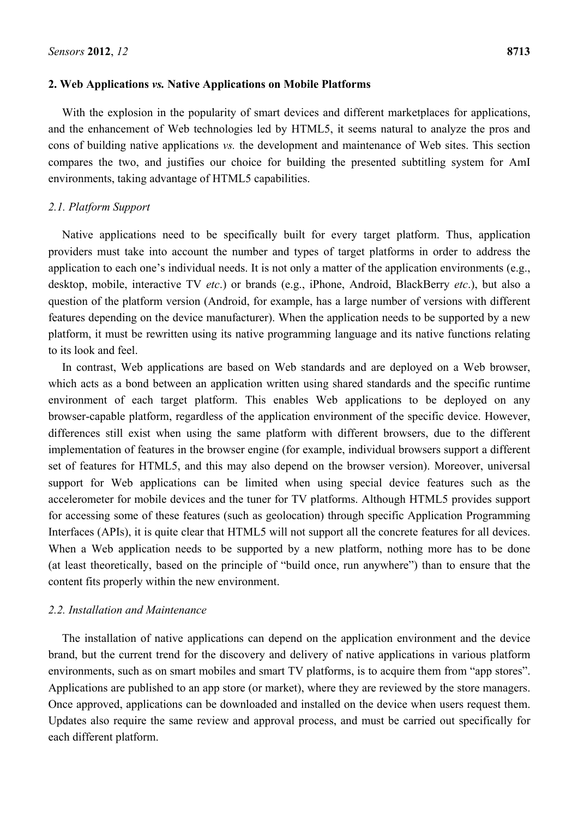### **2. Web Applications** *vs.* **Native Applications on Mobile Platforms**

With the explosion in the popularity of smart devices and different marketplaces for applications, and the enhancement of Web technologies led by HTML5, it seems natural to analyze the pros and cons of building native applications *vs.* the development and maintenance of Web sites. This section compares the two, and justifies our choice for building the presented subtitling system for AmI environments, taking advantage of HTML5 capabilities.

# *2.1. Platform Support*

Native applications need to be specifically built for every target platform. Thus, application providers must take into account the number and types of target platforms in order to address the application to each one's individual needs. It is not only a matter of the application environments (e.g., desktop, mobile, interactive TV *etc*.) or brands (e.g., iPhone, Android, BlackBerry *etc*.), but also a question of the platform version (Android, for example, has a large number of versions with different features depending on the device manufacturer). When the application needs to be supported by a new platform, it must be rewritten using its native programming language and its native functions relating to its look and feel.

In contrast, Web applications are based on Web standards and are deployed on a Web browser, which acts as a bond between an application written using shared standards and the specific runtime environment of each target platform. This enables Web applications to be deployed on any browser-capable platform, regardless of the application environment of the specific device. However, differences still exist when using the same platform with different browsers, due to the different implementation of features in the browser engine (for example, individual browsers support a different set of features for HTML5, and this may also depend on the browser version). Moreover, universal support for Web applications can be limited when using special device features such as the accelerometer for mobile devices and the tuner for TV platforms. Although HTML5 provides support for accessing some of these features (such as geolocation) through specific Application Programming Interfaces (APIs), it is quite clear that HTML5 will not support all the concrete features for all devices. When a Web application needs to be supported by a new platform, nothing more has to be done (at least theoretically, based on the principle of "build once, run anywhere") than to ensure that the content fits properly within the new environment.

### *2.2. Installation and Maintenance*

The installation of native applications can depend on the application environment and the device brand, but the current trend for the discovery and delivery of native applications in various platform environments, such as on smart mobiles and smart TV platforms, is to acquire them from "app stores". Applications are published to an app store (or market), where they are reviewed by the store managers. Once approved, applications can be downloaded and installed on the device when users request them. Updates also require the same review and approval process, and must be carried out specifically for each different platform.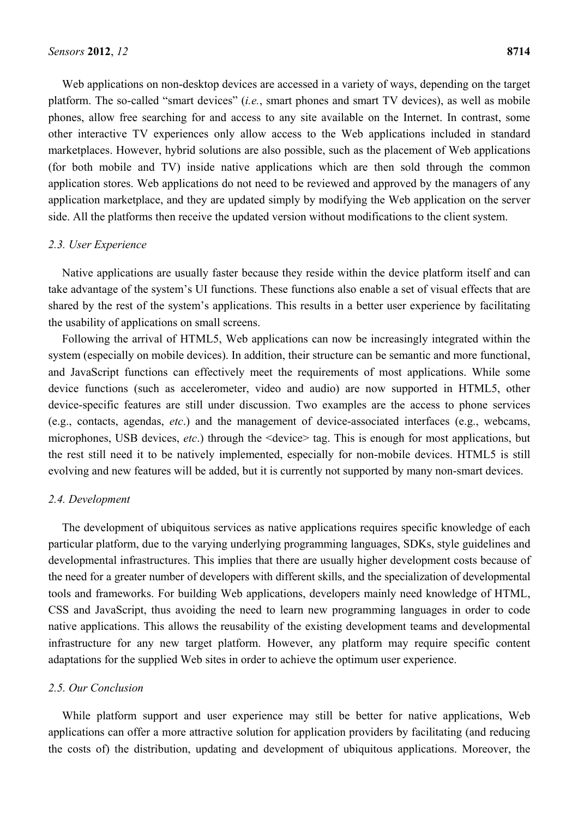Web applications on non-desktop devices are accessed in a variety of ways, depending on the target platform. The so-called "smart devices" (*i.e.*, smart phones and smart TV devices), as well as mobile phones, allow free searching for and access to any site available on the Internet. In contrast, some other interactive TV experiences only allow access to the Web applications included in standard marketplaces. However, hybrid solutions are also possible, such as the placement of Web applications (for both mobile and TV) inside native applications which are then sold through the common application stores. Web applications do not need to be reviewed and approved by the managers of any application marketplace, and they are updated simply by modifying the Web application on the server side. All the platforms then receive the updated version without modifications to the client system.

### *2.3. User Experience*

Native applications are usually faster because they reside within the device platform itself and can take advantage of the system's UI functions. These functions also enable a set of visual effects that are shared by the rest of the system's applications. This results in a better user experience by facilitating the usability of applications on small screens.

Following the arrival of HTML5, Web applications can now be increasingly integrated within the system (especially on mobile devices). In addition, their structure can be semantic and more functional, and JavaScript functions can effectively meet the requirements of most applications. While some device functions (such as accelerometer, video and audio) are now supported in HTML5, other device-specific features are still under discussion. Two examples are the access to phone services (e.g., contacts, agendas, *etc*.) and the management of device-associated interfaces (e.g., webcams, microphones, USB devices, *etc*.) through the <device> tag. This is enough for most applications, but the rest still need it to be natively implemented, especially for non-mobile devices. HTML5 is still evolving and new features will be added, but it is currently not supported by many non-smart devices.

### *2.4. Development*

The development of ubiquitous services as native applications requires specific knowledge of each particular platform, due to the varying underlying programming languages, SDKs, style guidelines and developmental infrastructures. This implies that there are usually higher development costs because of the need for a greater number of developers with different skills, and the specialization of developmental tools and frameworks. For building Web applications, developers mainly need knowledge of HTML, CSS and JavaScript, thus avoiding the need to learn new programming languages in order to code native applications. This allows the reusability of the existing development teams and developmental infrastructure for any new target platform. However, any platform may require specific content adaptations for the supplied Web sites in order to achieve the optimum user experience.

### *2.5. Our Conclusion*

While platform support and user experience may still be better for native applications, Web applications can offer a more attractive solution for application providers by facilitating (and reducing the costs of) the distribution, updating and development of ubiquitous applications. Moreover, the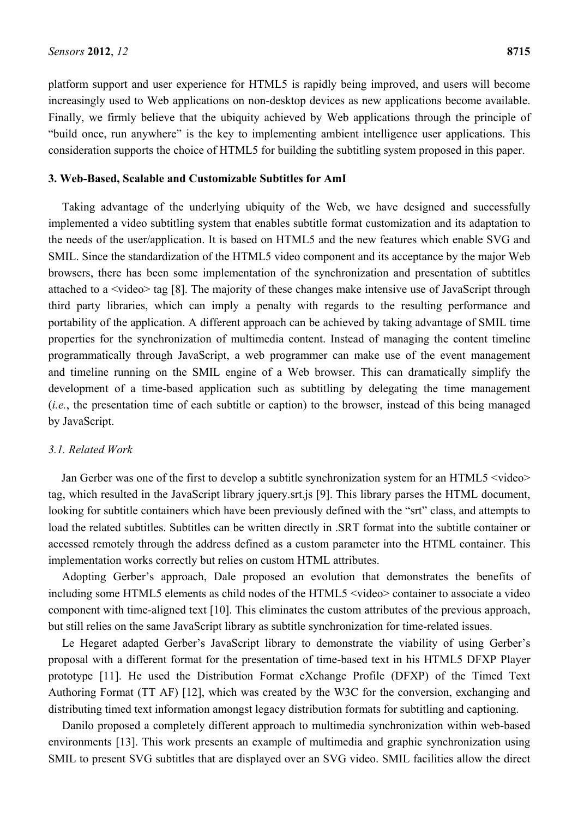platform support and user experience for HTML5 is rapidly being improved, and users will become increasingly used to Web applications on non-desktop devices as new applications become available. Finally, we firmly believe that the ubiquity achieved by Web applications through the principle of "build once, run anywhere" is the key to implementing ambient intelligence user applications. This consideration supports the choice of HTML5 for building the subtitling system proposed in this paper.

# **3. Web-Based, Scalable and Customizable Subtitles for AmI**

Taking advantage of the underlying ubiquity of the Web, we have designed and successfully implemented a video subtitling system that enables subtitle format customization and its adaptation to the needs of the user/application. It is based on HTML5 and the new features which enable SVG and SMIL. Since the standardization of the HTML5 video component and its acceptance by the major Web browsers, there has been some implementation of the synchronization and presentation of subtitles attached to a <video> tag [8]. The majority of these changes make intensive use of JavaScript through third party libraries, which can imply a penalty with regards to the resulting performance and portability of the application. A different approach can be achieved by taking advantage of SMIL time properties for the synchronization of multimedia content. Instead of managing the content timeline programmatically through JavaScript, a web programmer can make use of the event management and timeline running on the SMIL engine of a Web browser. This can dramatically simplify the development of a time-based application such as subtitling by delegating the time management (*i.e.*, the presentation time of each subtitle or caption) to the browser, instead of this being managed by JavaScript.

### *3.1. Related Work*

Jan Gerber was one of the first to develop a subtitle synchronization system for an HTML5  $\le$ video> tag, which resulted in the JavaScript library jquery.srt.js [9]. This library parses the HTML document, looking for subtitle containers which have been previously defined with the "srt" class, and attempts to load the related subtitles. Subtitles can be written directly in .SRT format into the subtitle container or accessed remotely through the address defined as a custom parameter into the HTML container. This implementation works correctly but relies on custom HTML attributes.

Adopting Gerber's approach, Dale proposed an evolution that demonstrates the benefits of including some HTML5 elements as child nodes of the HTML5 <video> container to associate a video component with time-aligned text [10]. This eliminates the custom attributes of the previous approach, but still relies on the same JavaScript library as subtitle synchronization for time-related issues.

Le Hegaret adapted Gerber's JavaScript library to demonstrate the viability of using Gerber's proposal with a different format for the presentation of time-based text in his HTML5 DFXP Player prototype [11]. He used the Distribution Format eXchange Profile (DFXP) of the Timed Text Authoring Format (TT AF) [12], which was created by the W3C for the conversion, exchanging and distributing timed text information amongst legacy distribution formats for subtitling and captioning.

Danilo proposed a completely different approach to multimedia synchronization within web-based environments [13]. This work presents an example of multimedia and graphic synchronization using SMIL to present SVG subtitles that are displayed over an SVG video. SMIL facilities allow the direct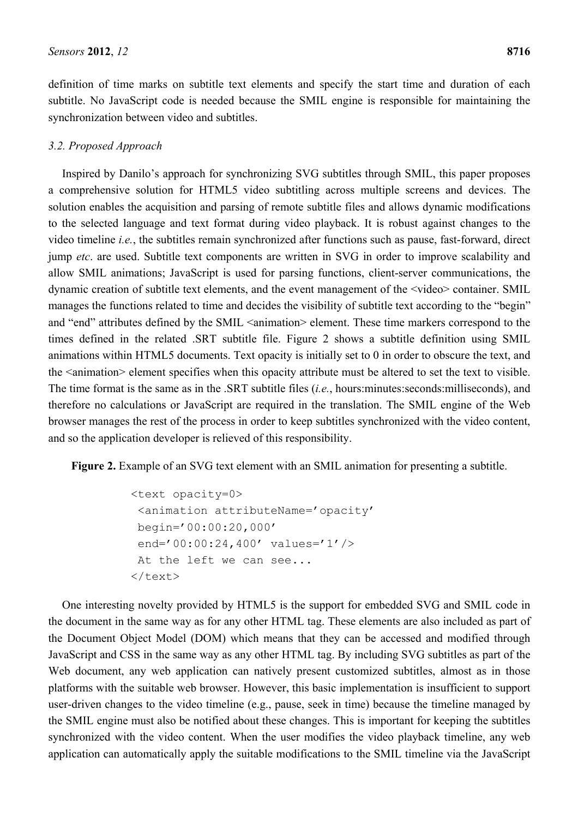definition of time marks on subtitle text elements and specify the start time and duration of each subtitle. No JavaScript code is needed because the SMIL engine is responsible for maintaining the synchronization between video and subtitles.

# *3.2. Proposed Approach*

Inspired by Danilo's approach for synchronizing SVG subtitles through SMIL, this paper proposes a comprehensive solution for HTML5 video subtitling across multiple screens and devices. The solution enables the acquisition and parsing of remote subtitle files and allows dynamic modifications to the selected language and text format during video playback. It is robust against changes to the video timeline *i.e.*, the subtitles remain synchronized after functions such as pause, fast-forward, direct jump *etc*. are used. Subtitle text components are written in SVG in order to improve scalability and allow SMIL animations; JavaScript is used for parsing functions, client-server communications, the dynamic creation of subtitle text elements, and the event management of the <video> container. SMIL manages the functions related to time and decides the visibility of subtitle text according to the "begin" and "end" attributes defined by the SMIL <animation> element. These time markers correspond to the times defined in the related .SRT subtitle file. Figure 2 shows a subtitle definition using SMIL animations within HTML5 documents. Text opacity is initially set to 0 in order to obscure the text, and the <animation> element specifies when this opacity attribute must be altered to set the text to visible. The time format is the same as in the .SRT subtitle files (*i.e.*, hours:minutes:seconds:milliseconds), and therefore no calculations or JavaScript are required in the translation. The SMIL engine of the Web browser manages the rest of the process in order to keep subtitles synchronized with the video content, and so the application developer is relieved of this responsibility.

**Figure 2.** Example of an SVG text element with an SMIL animation for presenting a subtitle.

```
<text opacity=0> 
 <animation attributeName='opacity' 
 begin='00:00:20,000' 
 end='00:00:24,400' values='1'/> 
 At the left we can see... 
\langle/text>
```
One interesting novelty provided by HTML5 is the support for embedded SVG and SMIL code in the document in the same way as for any other HTML tag. These elements are also included as part of the Document Object Model (DOM) which means that they can be accessed and modified through JavaScript and CSS in the same way as any other HTML tag. By including SVG subtitles as part of the Web document, any web application can natively present customized subtitles, almost as in those platforms with the suitable web browser. However, this basic implementation is insufficient to support user-driven changes to the video timeline (e.g., pause, seek in time) because the timeline managed by the SMIL engine must also be notified about these changes. This is important for keeping the subtitles synchronized with the video content. When the user modifies the video playback timeline, any web application can automatically apply the suitable modifications to the SMIL timeline via the JavaScript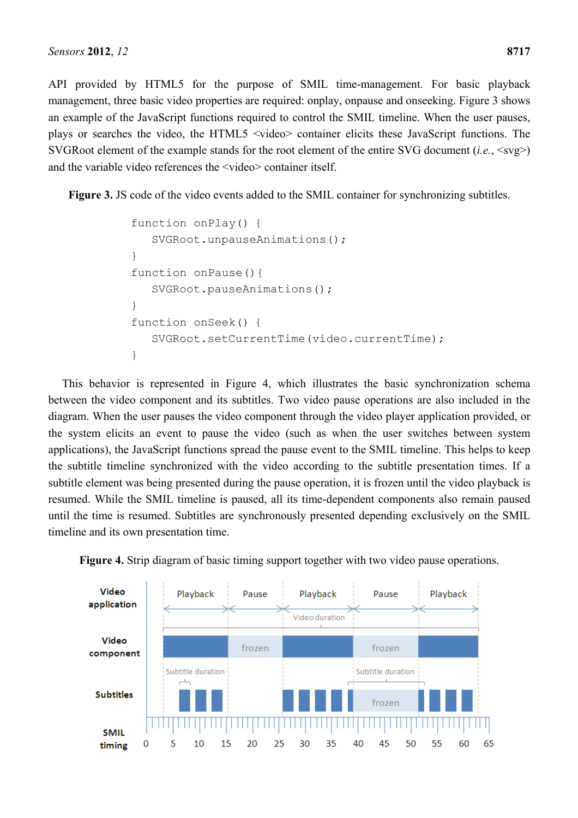API provided by HTML5 for the purpose of SMIL time-management. For basic playback management, three basic video properties are required: onplay, onpause and onseeking. Figure 3 shows an example of the JavaScript functions required to control the SMIL timeline. When the user pauses, plays or searches the video, the HTML5 <video> container elicits these JavaScript functions. The SVGRoot element of the example stands for the root element of the entire SVG document (*i.e.*, <svg>) and the variable video references the <video> container itself.

**Figure 3.** JS code of the video events added to the SMIL container for synchronizing subtitles.

```
function onPlay() { 
    SVGRoot.unpauseAnimations(); 
} 
function onPause(){ 
    SVGRoot.pauseAnimations(); 
} 
function onSeek() { 
    SVGRoot.setCurrentTime(video.currentTime); 
}
```
This behavior is represented in Figure 4, which illustrates the basic synchronization schema between the video component and its subtitles. Two video pause operations are also included in the diagram. When the user pauses the video component through the video player application provided, or the system elicits an event to pause the video (such as when the user switches between system applications), the JavaScript functions spread the pause event to the SMIL timeline. This helps to keep the subtitle timeline synchronized with the video according to the subtitle presentation times. If a subtitle element was being presented during the pause operation, it is frozen until the video playback is resumed. While the SMIL timeline is paused, all its time-dependent components also remain paused until the time is resumed. Subtitles are synchronously presented depending exclusively on the SMIL timeline and its own presentation time.



**Figure 4.** Strip diagram of basic timing support together with two video pause operations.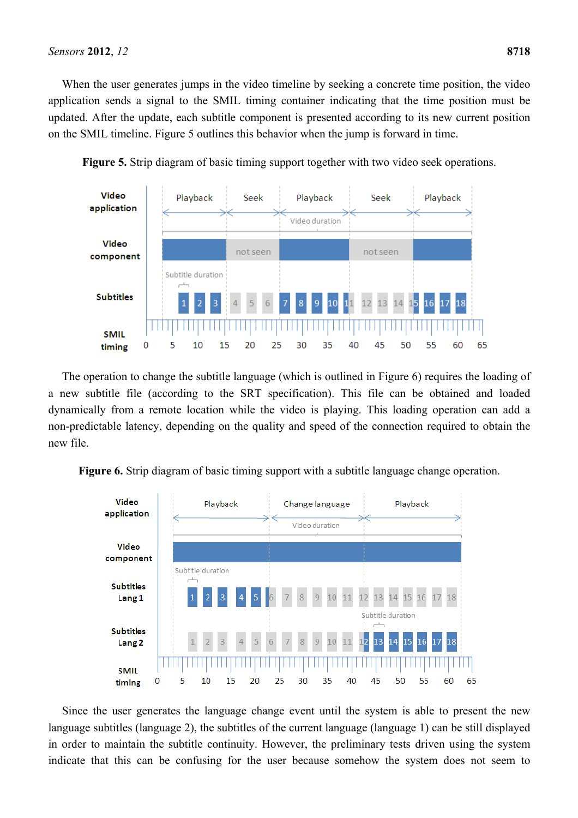When the user generates jumps in the video timeline by seeking a concrete time position, the video application sends a signal to the SMIL timing container indicating that the time position must be updated. After the update, each subtitle component is presented according to its new current position on the SMIL timeline. Figure 5 outlines this behavior when the jump is forward in time.





The operation to change the subtitle language (which is outlined in Figure 6) requires the loading of a new subtitle file (according to the SRT specification). This file can be obtained and loaded dynamically from a remote location while the video is playing. This loading operation can add a non-predictable latency, depending on the quality and speed of the connection required to obtain the new file.



**Figure 6.** Strip diagram of basic timing support with a subtitle language change operation.

Since the user generates the language change event until the system is able to present the new language subtitles (language 2), the subtitles of the current language (language 1) can be still displayed in order to maintain the subtitle continuity. However, the preliminary tests driven using the system indicate that this can be confusing for the user because somehow the system does not seem to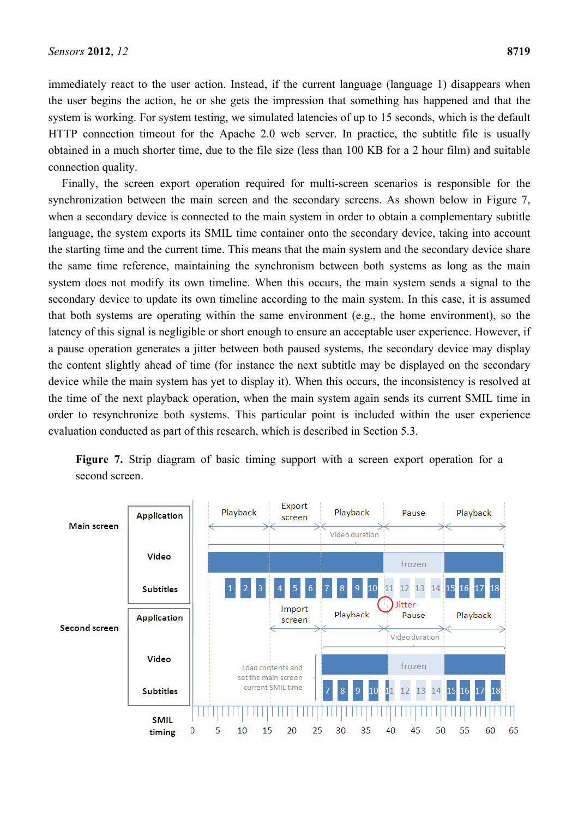immediately react to the user action. Instead, if the current language (language 1) disappears when the user begins the action, he or she gets the impression that something has happened and that the system is working. For system testing, we simulated latencies of up to 15 seconds, which is the default HTTP connection timeout for the Apache 2.0 web server. In practice, the subtitle file is usually obtained in a much shorter time, due to the file size (less than 100 KB for a 2 hour film) and suitable connection quality.

Finally, the screen export operation required for multi-screen scenarios is responsible for the synchronization between the main screen and the secondary screens. As shown below in Figure 7, when a secondary device is connected to the main system in order to obtain a complementary subtitle language, the system exports its SMIL time container onto the secondary device, taking into account the starting time and the current time. This means that the main system and the secondary device share the same time reference, maintaining the synchronism between both systems as long as the main system does not modify its own timeline. When this occurs, the main system sends a signal to the secondary device to update its own timeline according to the main system. In this case, it is assumed that both systems are operating within the same environment (e.g., the home environment), so the latency of this signal is negligible or short enough to ensure an acceptable user experience. However, if a pause operation generates a jitter between both paused systems, the secondary device may display the content slightly ahead of time (for instance the next subtitle may be displayed on the secondary device while the main system has yet to display it). When this occurs, the inconsistency is resolved at the time of the next playback operation, when the main system again sends its current SMIL time in order to resynchronize both systems. This particular point is included within the user experience evaluation conducted as part of this research, which is described in Section 5.3.



**Figure 7.** Strip diagram of basic timing support with a screen export operation for a second screen.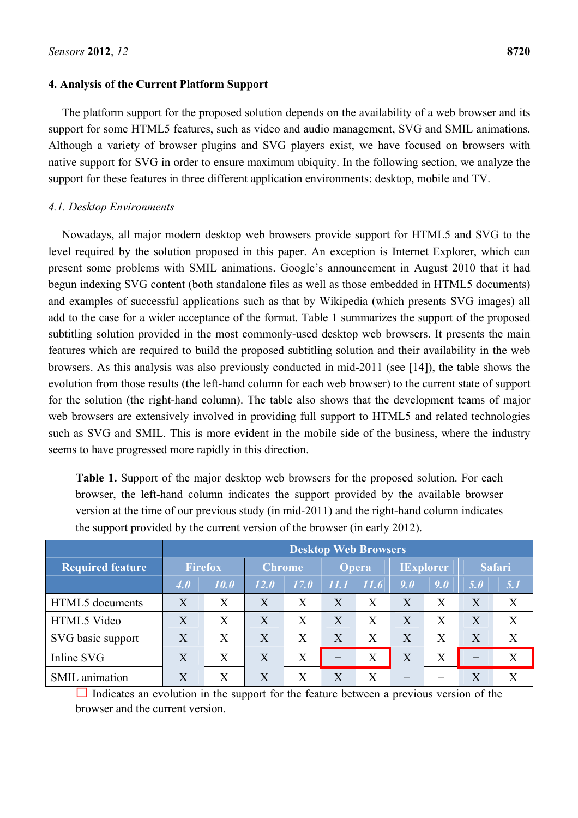# **4. Analysis of the Current Platform Support**

The platform support for the proposed solution depends on the availability of a web browser and its support for some HTML5 features, such as video and audio management, SVG and SMIL animations. Although a variety of browser plugins and SVG players exist, we have focused on browsers with native support for SVG in order to ensure maximum ubiquity. In the following section, we analyze the support for these features in three different application environments: desktop, mobile and TV.

# *4.1. Desktop Environments*

Nowadays, all major modern desktop web browsers provide support for HTML5 and SVG to the level required by the solution proposed in this paper. An exception is Internet Explorer, which can present some problems with SMIL animations. Google's announcement in August 2010 that it had begun indexing SVG content (both standalone files as well as those embedded in HTML5 documents) and examples of successful applications such as that by Wikipedia (which presents SVG images) all add to the case for a wider acceptance of the format. Table 1 summarizes the support of the proposed subtitling solution provided in the most commonly-used desktop web browsers. It presents the main features which are required to build the proposed subtitling solution and their availability in the web browsers. As this analysis was also previously conducted in mid-2011 (see [14]), the table shows the evolution from those results (the left-hand column for each web browser) to the current state of support for the solution (the right-hand column). The table also shows that the development teams of major web browsers are extensively involved in providing full support to HTML5 and related technologies such as SVG and SMIL. This is more evident in the mobile side of the business, where the industry seems to have progressed more rapidly in this direction.

**Table 1.** Support of the major desktop web browsers for the proposed solution. For each browser, the left-hand column indicates the support provided by the available browser version at the time of our previous study (in mid-2011) and the right-hand column indicates the support provided by the current version of the browser (in early 2012).

|                         | <b>Desktop Web Browsers</b> |             |               |      |                |      |                  |     |                         |              |  |
|-------------------------|-----------------------------|-------------|---------------|------|----------------|------|------------------|-----|-------------------------|--------------|--|
| <b>Required feature</b> | <b>Firefox</b>              |             | <b>Chrome</b> |      | <b>Opera</b>   |      | <b>IExplorer</b> |     | <b>Safari</b>           |              |  |
|                         | 4.0                         | <b>10.0</b> | 12.0          | 17.0 | $ II.1\rangle$ | 11.6 | 9.0              | 9.0 | 5.0                     | $\sqrt{5.1}$ |  |
| HTML5 documents         | X                           | X           | X             | X    | X              | X    | X                | X   | X                       | X            |  |
| HTML5 Video             | X                           | X           | X             | X    | X              | X    | X                | X   | X                       | X            |  |
| SVG basic support       | X                           | X           | X             | X    | X              | X    | X                | X   | X                       | X            |  |
| Inline SVG              | X                           | X           | X             | X    |                | X    | $\overline{X}$   | X   |                         | X            |  |
| <b>SMIL</b> animation   | X                           | X           | X             | X    | X              | X    |                  |     | $\overline{\mathrm{X}}$ | X            |  |

□ Indicates an evolution in the support for the feature between a previous version of the browser and the current version.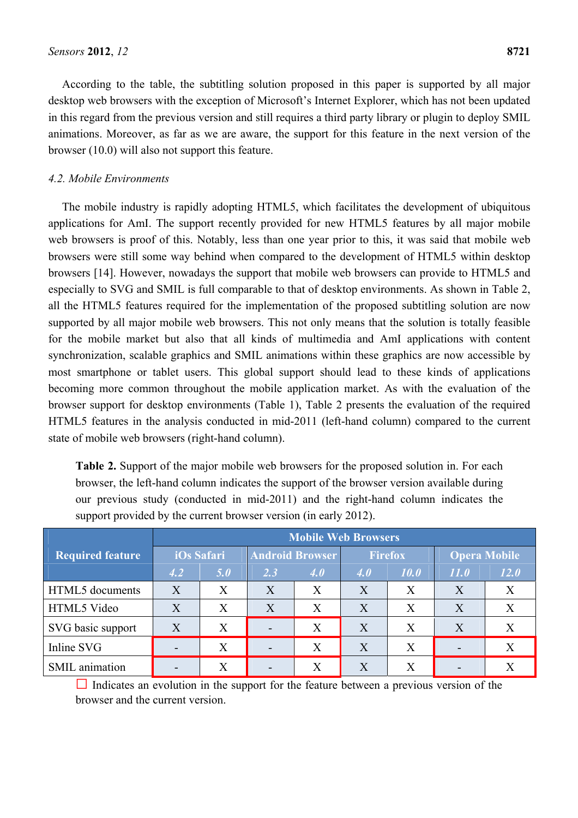According to the table, the subtitling solution proposed in this paper is supported by all major desktop web browsers with the exception of Microsoft's Internet Explorer, which has not been updated in this regard from the previous version and still requires a third party library or plugin to deploy SMIL animations. Moreover, as far as we are aware, the support for this feature in the next version of the browser (10.0) will also not support this feature.

# *4.2. Mobile Environments*

The mobile industry is rapidly adopting HTML5, which facilitates the development of ubiquitous applications for AmI. The support recently provided for new HTML5 features by all major mobile web browsers is proof of this. Notably, less than one year prior to this, it was said that mobile web browsers were still some way behind when compared to the development of HTML5 within desktop browsers [14]. However, nowadays the support that mobile web browsers can provide to HTML5 and especially to SVG and SMIL is full comparable to that of desktop environments. As shown in Table 2, all the HTML5 features required for the implementation of the proposed subtitling solution are now supported by all major mobile web browsers. This not only means that the solution is totally feasible for the mobile market but also that all kinds of multimedia and AmI applications with content synchronization, scalable graphics and SMIL animations within these graphics are now accessible by most smartphone or tablet users. This global support should lead to these kinds of applications becoming more common throughout the mobile application market. As with the evaluation of the browser support for desktop environments (Table 1), Table 2 presents the evaluation of the required HTML5 features in the analysis conducted in mid-2011 (left-hand column) compared to the current state of mobile web browsers (right-hand column).

**Table 2.** Support of the major mobile web browsers for the proposed solution in. For each browser, the left-hand column indicates the support of the browser version available during our previous study (conducted in mid-2011) and the right-hand column indicates the support provided by the current browser version (in early 2012).

|                         | <b>Mobile Web Browsers</b> |     |                          |              |                |              |                     |      |  |  |
|-------------------------|----------------------------|-----|--------------------------|--------------|----------------|--------------|---------------------|------|--|--|
| <b>Required feature</b> | iOs Safari                 |     | <b>Android Browser</b>   |              | <b>Firefox</b> |              | <b>Opera Mobile</b> |      |  |  |
|                         | 4.2                        | 5.0 | 2.3                      | 4.0          | 4.0            | <b>10.0</b>  | 11.0                | 12.0 |  |  |
| HTML5 documents         | X                          | X   | X                        | X            | X              | X            | X                   | X    |  |  |
| HTML5 Video             | X                          | X   | X                        | $\mathbf{X}$ | X              | $\mathbf{X}$ | X                   |      |  |  |
| SVG basic support       | X                          | X   | $\overline{\phantom{a}}$ | X            | X              | X            | X                   | X    |  |  |
| Inline SVG              |                            | X   | $\overline{\phantom{a}}$ | X            | X              | X            |                     | X    |  |  |
| SMIL animation          |                            |     | $\,$                     | X            | X              | X            |                     |      |  |  |

**□** Indicates an evolution in the support for the feature between a previous version of the browser and the current version.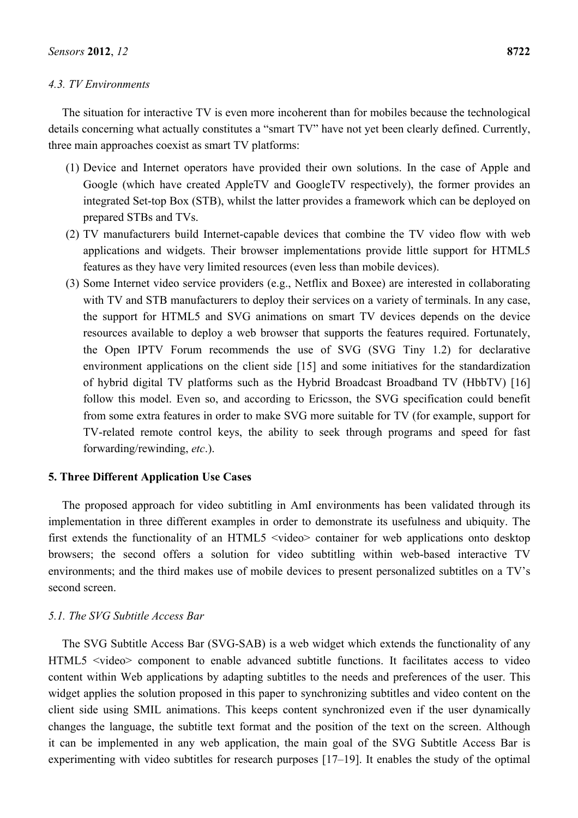### *4.3. TV Environments*

The situation for interactive TV is even more incoherent than for mobiles because the technological details concerning what actually constitutes a "smart TV" have not yet been clearly defined. Currently, three main approaches coexist as smart TV platforms:

- (1) Device and Internet operators have provided their own solutions. In the case of Apple and Google (which have created AppleTV and GoogleTV respectively), the former provides an integrated Set-top Box (STB), whilst the latter provides a framework which can be deployed on prepared STBs and TVs.
- (2) TV manufacturers build Internet-capable devices that combine the TV video flow with web applications and widgets. Their browser implementations provide little support for HTML5 features as they have very limited resources (even less than mobile devices).
- (3) Some Internet video service providers (e.g., Netflix and Boxee) are interested in collaborating with TV and STB manufacturers to deploy their services on a variety of terminals. In any case, the support for HTML5 and SVG animations on smart TV devices depends on the device resources available to deploy a web browser that supports the features required. Fortunately, the Open IPTV Forum recommends the use of SVG (SVG Tiny 1.2) for declarative environment applications on the client side [15] and some initiatives for the standardization of hybrid digital TV platforms such as the Hybrid Broadcast Broadband TV (HbbTV) [16] follow this model. Even so, and according to Ericsson, the SVG specification could benefit from some extra features in order to make SVG more suitable for TV (for example, support for TV-related remote control keys, the ability to seek through programs and speed for fast forwarding/rewinding, *etc*.).

## **5. Three Different Application Use Cases**

The proposed approach for video subtitling in AmI environments has been validated through its implementation in three different examples in order to demonstrate its usefulness and ubiquity. The first extends the functionality of an HTML5  $\leq$  video $\geq$  container for web applications onto desktop browsers; the second offers a solution for video subtitling within web-based interactive TV environments; and the third makes use of mobile devices to present personalized subtitles on a TV's second screen.

# *5.1. The SVG Subtitle Access Bar*

The SVG Subtitle Access Bar (SVG-SAB) is a web widget which extends the functionality of any HTML5 <video> component to enable advanced subtitle functions. It facilitates access to video content within Web applications by adapting subtitles to the needs and preferences of the user. This widget applies the solution proposed in this paper to synchronizing subtitles and video content on the client side using SMIL animations. This keeps content synchronized even if the user dynamically changes the language, the subtitle text format and the position of the text on the screen. Although it can be implemented in any web application, the main goal of the SVG Subtitle Access Bar is experimenting with video subtitles for research purposes [17–19]. It enables the study of the optimal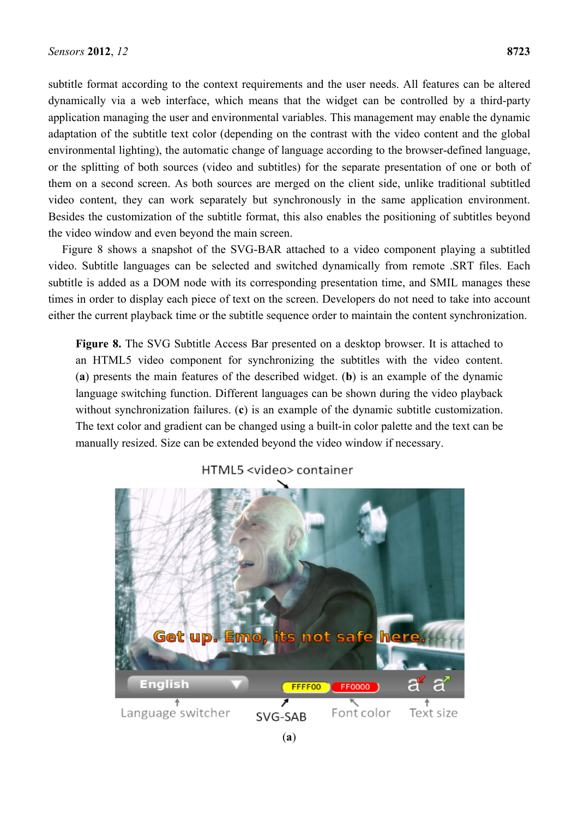subtitle format according to the context requirements and the user needs. All features can be altered dynamically via a web interface, which means that the widget can be controlled by a third-party application managing the user and environmental variables. This management may enable the dynamic adaptation of the subtitle text color (depending on the contrast with the video content and the global environmental lighting), the automatic change of language according to the browser-defined language, or the splitting of both sources (video and subtitles) for the separate presentation of one or both of them on a second screen. As both sources are merged on the client side, unlike traditional subtitled video content, they can work separately but synchronously in the same application environment. Besides the customization of the subtitle format, this also enables the positioning of subtitles beyond the video window and even beyond the main screen.

Figure 8 shows a snapshot of the SVG-BAR attached to a video component playing a subtitled video. Subtitle languages can be selected and switched dynamically from remote .SRT files. Each subtitle is added as a DOM node with its corresponding presentation time, and SMIL manages these times in order to display each piece of text on the screen. Developers do not need to take into account either the current playback time or the subtitle sequence order to maintain the content synchronization.

**Figure 8.** The SVG Subtitle Access Bar presented on a desktop browser. It is attached to an HTML5 video component for synchronizing the subtitles with the video content. (**a**) presents the main features of the described widget. (**b**) is an example of the dynamic language switching function. Different languages can be shown during the video playback without synchronization failures. (**c**) is an example of the dynamic subtitle customization. The text color and gradient can be changed using a built-in color palette and the text can be manually resized. Size can be extended beyond the video window if necessary.



HTML5 <video> container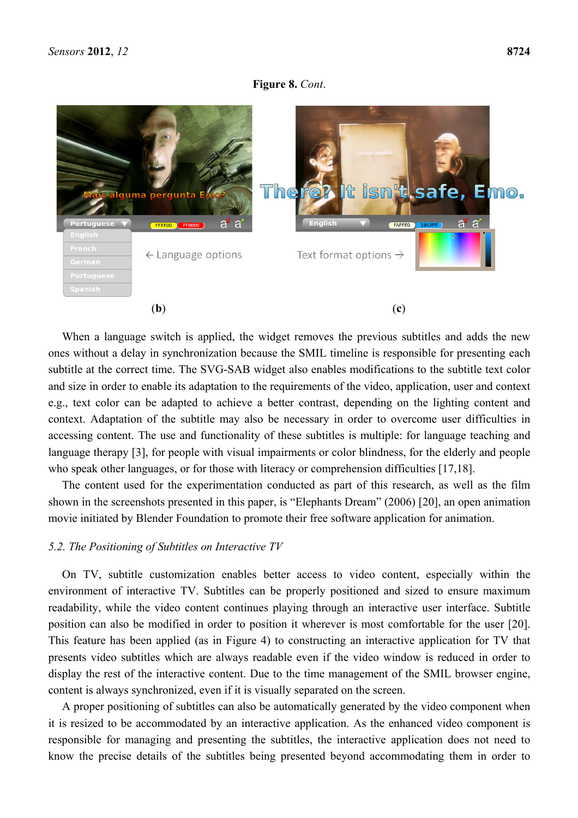### **Figure 8.** *Cont*.



When a language switch is applied, the widget removes the previous subtitles and adds the new ones without a delay in synchronization because the SMIL timeline is responsible for presenting each subtitle at the correct time. The SVG-SAB widget also enables modifications to the subtitle text color and size in order to enable its adaptation to the requirements of the video, application, user and context e.g., text color can be adapted to achieve a better contrast, depending on the lighting content and context. Adaptation of the subtitle may also be necessary in order to overcome user difficulties in accessing content. The use and functionality of these subtitles is multiple: for language teaching and language therapy [3], for people with visual impairments or color blindness, for the elderly and people who speak other languages, or for those with literacy or comprehension difficulties [17,18].

The content used for the experimentation conducted as part of this research, as well as the film shown in the screenshots presented in this paper, is "Elephants Dream" (2006) [20], an open animation movie initiated by Blender Foundation to promote their free software application for animation.

## *5.2. The Positioning of Subtitles on Interactive TV*

On TV, subtitle customization enables better access to video content, especially within the environment of interactive TV. Subtitles can be properly positioned and sized to ensure maximum readability, while the video content continues playing through an interactive user interface. Subtitle position can also be modified in order to position it wherever is most comfortable for the user [20]. This feature has been applied (as in Figure 4) to constructing an interactive application for TV that presents video subtitles which are always readable even if the video window is reduced in order to display the rest of the interactive content. Due to the time management of the SMIL browser engine, content is always synchronized, even if it is visually separated on the screen.

A proper positioning of subtitles can also be automatically generated by the video component when it is resized to be accommodated by an interactive application. As the enhanced video component is responsible for managing and presenting the subtitles, the interactive application does not need to know the precise details of the subtitles being presented beyond accommodating them in order to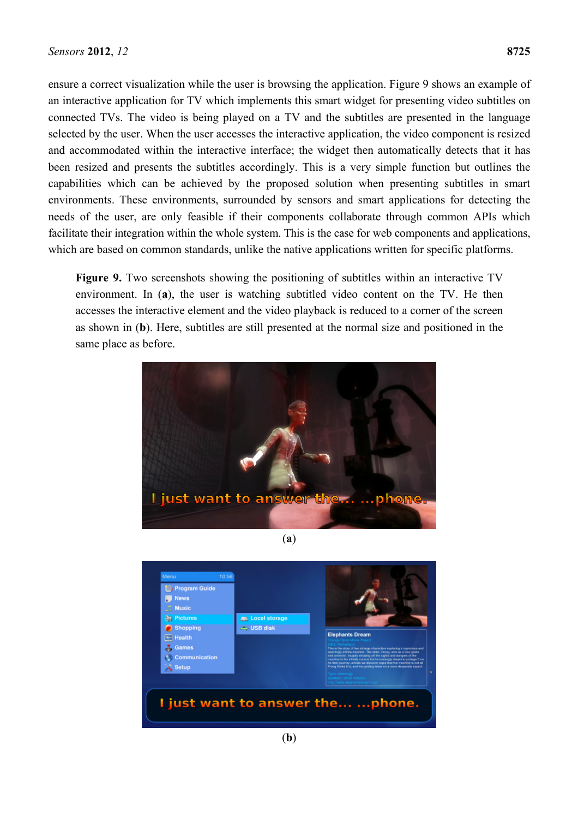ensure a correct visualization while the user is browsing the application. Figure 9 shows an example of an interactive application for TV which implements this smart widget for presenting video subtitles on connected TVs. The video is being played on a TV and the subtitles are presented in the language selected by the user. When the user accesses the interactive application, the video component is resized and accommodated within the interactive interface; the widget then automatically detects that it has been resized and presents the subtitles accordingly. This is a very simple function but outlines the capabilities which can be achieved by the proposed solution when presenting subtitles in smart environments. These environments, surrounded by sensors and smart applications for detecting the needs of the user, are only feasible if their components collaborate through common APIs which facilitate their integration within the whole system. This is the case for web components and applications, which are based on common standards, unlike the native applications written for specific platforms.

**Figure 9.** Two screenshots showing the positioning of subtitles within an interactive TV environment. In (**a**), the user is watching subtitled video content on the TV. He then accesses the interactive element and the video playback is reduced to a corner of the screen as shown in (**b**). Here, subtitles are still presented at the normal size and positioned in the same place as before.



(**a**)

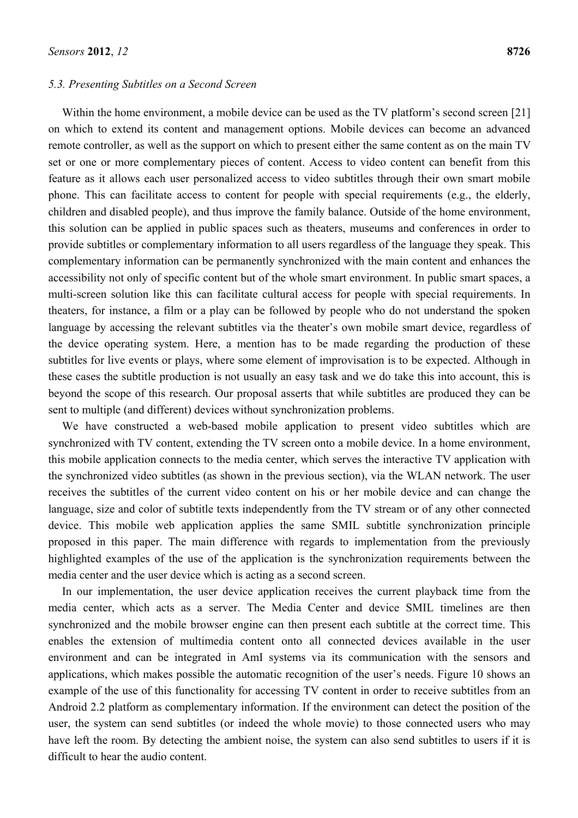### *5.3. Presenting Subtitles on a Second Screen*

Within the home environment, a mobile device can be used as the TV platform's second screen [21] on which to extend its content and management options. Mobile devices can become an advanced remote controller, as well as the support on which to present either the same content as on the main TV set or one or more complementary pieces of content. Access to video content can benefit from this feature as it allows each user personalized access to video subtitles through their own smart mobile phone. This can facilitate access to content for people with special requirements (e.g., the elderly, children and disabled people), and thus improve the family balance. Outside of the home environment, this solution can be applied in public spaces such as theaters, museums and conferences in order to provide subtitles or complementary information to all users regardless of the language they speak. This complementary information can be permanently synchronized with the main content and enhances the accessibility not only of specific content but of the whole smart environment. In public smart spaces, a multi-screen solution like this can facilitate cultural access for people with special requirements. In theaters, for instance, a film or a play can be followed by people who do not understand the spoken language by accessing the relevant subtitles via the theater's own mobile smart device, regardless of the device operating system. Here, a mention has to be made regarding the production of these subtitles for live events or plays, where some element of improvisation is to be expected. Although in these cases the subtitle production is not usually an easy task and we do take this into account, this is beyond the scope of this research. Our proposal asserts that while subtitles are produced they can be sent to multiple (and different) devices without synchronization problems.

We have constructed a web-based mobile application to present video subtitles which are synchronized with TV content, extending the TV screen onto a mobile device. In a home environment, this mobile application connects to the media center, which serves the interactive TV application with the synchronized video subtitles (as shown in the previous section), via the WLAN network. The user receives the subtitles of the current video content on his or her mobile device and can change the language, size and color of subtitle texts independently from the TV stream or of any other connected device. This mobile web application applies the same SMIL subtitle synchronization principle proposed in this paper. The main difference with regards to implementation from the previously highlighted examples of the use of the application is the synchronization requirements between the media center and the user device which is acting as a second screen.

In our implementation, the user device application receives the current playback time from the media center, which acts as a server. The Media Center and device SMIL timelines are then synchronized and the mobile browser engine can then present each subtitle at the correct time. This enables the extension of multimedia content onto all connected devices available in the user environment and can be integrated in AmI systems via its communication with the sensors and applications, which makes possible the automatic recognition of the user's needs. Figure 10 shows an example of the use of this functionality for accessing TV content in order to receive subtitles from an Android 2.2 platform as complementary information. If the environment can detect the position of the user, the system can send subtitles (or indeed the whole movie) to those connected users who may have left the room. By detecting the ambient noise, the system can also send subtitles to users if it is difficult to hear the audio content.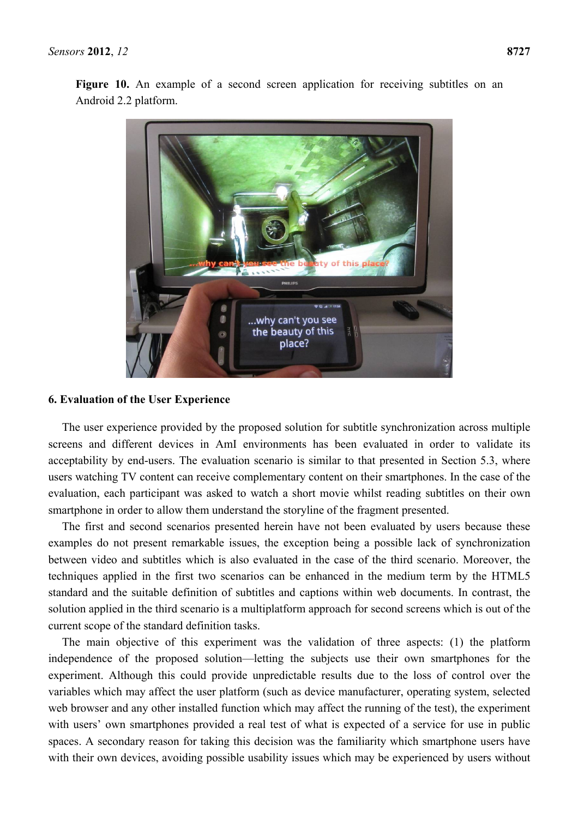Figure 10. An example of a second screen application for receiving subtitles on an Android 2.2 platform.



# **6. Evaluation of the User Experience**

The user experience provided by the proposed solution for subtitle synchronization across multiple screens and different devices in AmI environments has been evaluated in order to validate its acceptability by end-users. The evaluation scenario is similar to that presented in Section 5.3, where users watching TV content can receive complementary content on their smartphones. In the case of the evaluation, each participant was asked to watch a short movie whilst reading subtitles on their own smartphone in order to allow them understand the storyline of the fragment presented.

The first and second scenarios presented herein have not been evaluated by users because these examples do not present remarkable issues, the exception being a possible lack of synchronization between video and subtitles which is also evaluated in the case of the third scenario. Moreover, the techniques applied in the first two scenarios can be enhanced in the medium term by the HTML5 standard and the suitable definition of subtitles and captions within web documents. In contrast, the solution applied in the third scenario is a multiplatform approach for second screens which is out of the current scope of the standard definition tasks.

The main objective of this experiment was the validation of three aspects: (1) the platform independence of the proposed solution—letting the subjects use their own smartphones for the experiment. Although this could provide unpredictable results due to the loss of control over the variables which may affect the user platform (such as device manufacturer, operating system, selected web browser and any other installed function which may affect the running of the test), the experiment with users' own smartphones provided a real test of what is expected of a service for use in public spaces. A secondary reason for taking this decision was the familiarity which smartphone users have with their own devices, avoiding possible usability issues which may be experienced by users without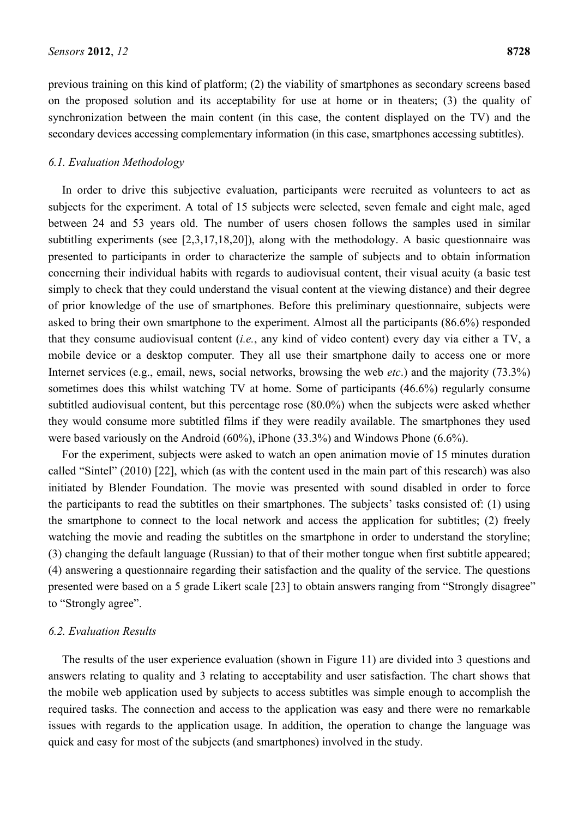previous training on this kind of platform; (2) the viability of smartphones as secondary screens based on the proposed solution and its acceptability for use at home or in theaters; (3) the quality of synchronization between the main content (in this case, the content displayed on the TV) and the secondary devices accessing complementary information (in this case, smartphones accessing subtitles).

### *6.1. Evaluation Methodology*

In order to drive this subjective evaluation, participants were recruited as volunteers to act as subjects for the experiment. A total of 15 subjects were selected, seven female and eight male, aged between 24 and 53 years old. The number of users chosen follows the samples used in similar subtitling experiments (see [2,3,17,18,20]), along with the methodology. A basic questionnaire was presented to participants in order to characterize the sample of subjects and to obtain information concerning their individual habits with regards to audiovisual content, their visual acuity (a basic test simply to check that they could understand the visual content at the viewing distance) and their degree of prior knowledge of the use of smartphones. Before this preliminary questionnaire, subjects were asked to bring their own smartphone to the experiment. Almost all the participants (86.6%) responded that they consume audiovisual content (*i.e.*, any kind of video content) every day via either a TV, a mobile device or a desktop computer. They all use their smartphone daily to access one or more Internet services (e.g., email, news, social networks, browsing the web *etc*.) and the majority (73.3%) sometimes does this whilst watching TV at home. Some of participants (46.6%) regularly consume subtitled audiovisual content, but this percentage rose (80.0%) when the subjects were asked whether they would consume more subtitled films if they were readily available. The smartphones they used were based variously on the Android (60%), iPhone (33.3%) and Windows Phone (6.6%).

For the experiment, subjects were asked to watch an open animation movie of 15 minutes duration called "Sintel" (2010) [22], which (as with the content used in the main part of this research) was also initiated by Blender Foundation. The movie was presented with sound disabled in order to force the participants to read the subtitles on their smartphones. The subjects' tasks consisted of: (1) using the smartphone to connect to the local network and access the application for subtitles; (2) freely watching the movie and reading the subtitles on the smartphone in order to understand the storyline; (3) changing the default language (Russian) to that of their mother tongue when first subtitle appeared; (4) answering a questionnaire regarding their satisfaction and the quality of the service. The questions presented were based on a 5 grade Likert scale [23] to obtain answers ranging from "Strongly disagree" to "Strongly agree".

### *6.2. Evaluation Results*

The results of the user experience evaluation (shown in Figure 11) are divided into 3 questions and answers relating to quality and 3 relating to acceptability and user satisfaction. The chart shows that the mobile web application used by subjects to access subtitles was simple enough to accomplish the required tasks. The connection and access to the application was easy and there were no remarkable issues with regards to the application usage. In addition, the operation to change the language was quick and easy for most of the subjects (and smartphones) involved in the study.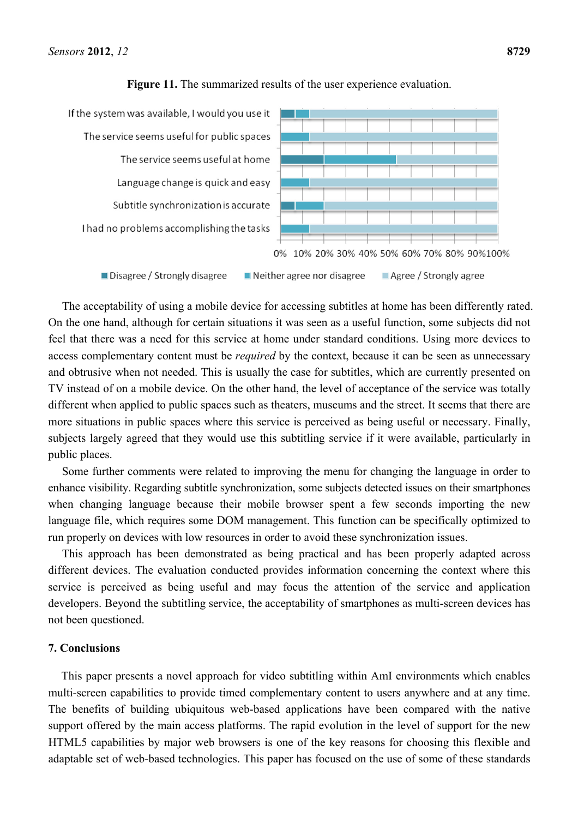

**Figure 11.** The summarized results of the user experience evaluation.

The acceptability of using a mobile device for accessing subtitles at home has been differently rated. On the one hand, although for certain situations it was seen as a useful function, some subjects did not feel that there was a need for this service at home under standard conditions. Using more devices to access complementary content must be *required* by the context, because it can be seen as unnecessary and obtrusive when not needed. This is usually the case for subtitles, which are currently presented on TV instead of on a mobile device. On the other hand, the level of acceptance of the service was totally different when applied to public spaces such as theaters, museums and the street. It seems that there are more situations in public spaces where this service is perceived as being useful or necessary. Finally, subjects largely agreed that they would use this subtitling service if it were available, particularly in public places.

Some further comments were related to improving the menu for changing the language in order to enhance visibility. Regarding subtitle synchronization, some subjects detected issues on their smartphones when changing language because their mobile browser spent a few seconds importing the new language file, which requires some DOM management. This function can be specifically optimized to run properly on devices with low resources in order to avoid these synchronization issues.

This approach has been demonstrated as being practical and has been properly adapted across different devices. The evaluation conducted provides information concerning the context where this service is perceived as being useful and may focus the attention of the service and application developers. Beyond the subtitling service, the acceptability of smartphones as multi-screen devices has not been questioned.

# **7. Conclusions**

This paper presents a novel approach for video subtitling within AmI environments which enables multi-screen capabilities to provide timed complementary content to users anywhere and at any time. The benefits of building ubiquitous web-based applications have been compared with the native support offered by the main access platforms. The rapid evolution in the level of support for the new HTML5 capabilities by major web browsers is one of the key reasons for choosing this flexible and adaptable set of web-based technologies. This paper has focused on the use of some of these standards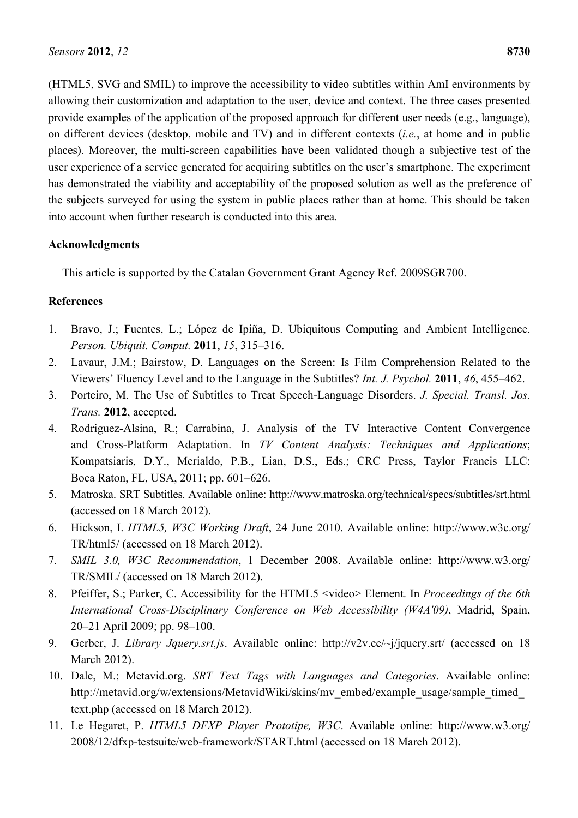(HTML5, SVG and SMIL) to improve the accessibility to video subtitles within AmI environments by allowing their customization and adaptation to the user, device and context. The three cases presented provide examples of the application of the proposed approach for different user needs (e.g., language), on different devices (desktop, mobile and TV) and in different contexts (*i.e.*, at home and in public places). Moreover, the multi-screen capabilities have been validated though a subjective test of the user experience of a service generated for acquiring subtitles on the user's smartphone. The experiment has demonstrated the viability and acceptability of the proposed solution as well as the preference of the subjects surveyed for using the system in public places rather than at home. This should be taken into account when further research is conducted into this area.

# **Acknowledgments**

This article is supported by the Catalan Government Grant Agency Ref. 2009SGR700.

# **References**

- 1. Bravo, J.; Fuentes, L.; López de Ipiña, D. Ubiquitous Computing and Ambient Intelligence. *Person. Ubiquit. Comput.* **2011**, *15*, 315–316.
- 2. Lavaur, J.M.; Bairstow, D. Languages on the Screen: Is Film Comprehension Related to the Viewers' Fluency Level and to the Language in the Subtitles? *Int. J. Psychol.* **2011**, *46*, 455–462.
- 3. Porteiro, M. The Use of Subtitles to Treat Speech-Language Disorders. *J. Special. Transl. Jos. Trans.* **2012**, accepted.
- 4. Rodriguez-Alsina, R.; Carrabina, J. Analysis of the TV Interactive Content Convergence and Cross-Platform Adaptation. In *TV Content Analysis: Techniques and Applications*; Kompatsiaris, D.Y., Merialdo, P.B., Lian, D.S., Eds.; CRC Press, Taylor Francis LLC: Boca Raton, FL, USA, 2011; pp. 601–626.
- 5. Matroska. SRT Subtitles. Available online: http://www.matroska.org/technical/specs/subtitles/srt.html (accessed on 18 March 2012).
- 6. Hickson, I. *HTML5, W3C Working Draft*, 24 June 2010. Available online: http://www.w3c.org/ TR/html5/ (accessed on 18 March 2012).
- 7. *SMIL 3.0, W3C Recommendation*, 1 December 2008. Available online: http://www.w3.org/ TR/SMIL/ (accessed on 18 March 2012).
- 8. Pfeiffer, S.; Parker, C. Accessibility for the HTML5 <video> Element. In *Proceedings of the 6th International Cross-Disciplinary Conference on Web Accessibility (W4A'09)*, Madrid, Spain, 20–21 April 2009; pp. 98–100.
- 9. Gerber, J. *Library Jquery.srt.js*. Available online: http://v2v.cc/~j/jquery.srt/ (accessed on 18 March 2012).
- 10. Dale, M.; Metavid.org. *SRT Text Tags with Languages and Categories*. Available online: http://metavid.org/w/extensions/MetavidWiki/skins/mv\_embed/example\_usage/sample\_timed\_ text.php (accessed on 18 March 2012).
- 11. Le Hegaret, P. *HTML5 DFXP Player Prototipe, W3C*. Available online: http://www.w3.org/ 2008/12/dfxp-testsuite/web-framework/START.html (accessed on 18 March 2012).